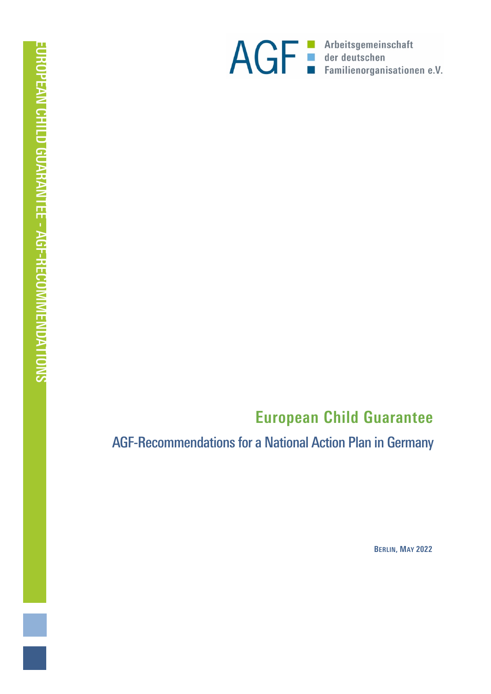

# **European Child Guarantee**

*AGF-Recommendations for a National Action Plan in Germany*

**BERLIN, MAY 2022**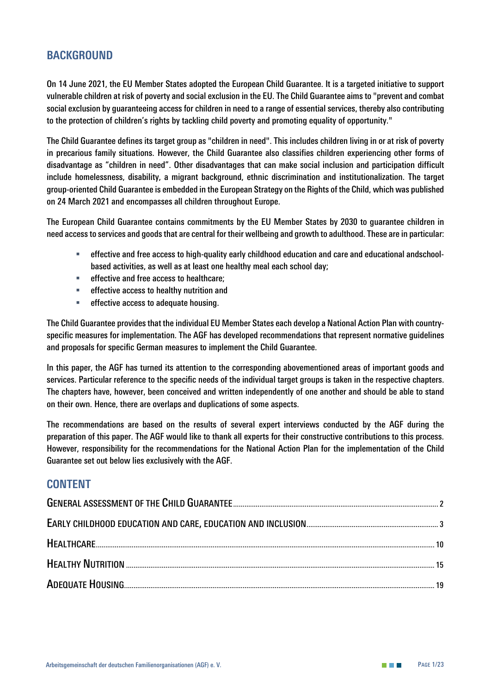## **BACKGROUND**

*On 14 June 2021, the EU Member States adopted the European Child Guarantee. It is a targeted initiative to support vulnerable children at risk of poverty and social exclusion in the EU. The Child Guarantee aims to "prevent and combat social exclusion by guaranteeing access for children in need to a range of essential services, thereby also contributing to the protection of children's rights by tackling child poverty and promoting equality of opportunity."*

*The Child Guarantee defines its target group as "children in need". This includes children living in or at risk of poverty in precarious family situations. However, the Child Guarantee also classifies children experiencing other forms of disadvantage as "children in need". Other disadvantages that can make social inclusion and participation difficult include homelessness, disability, a migrant background, ethnic discrimination and institutionalization. The target group-oriented Child Guarantee is embedded in the European Strategy on the Rights of the Child, which was published on 24 March 2021 and encompasses all children throughout Europe.*

*The European Child Guarantee contains commitments by the EU Member States by 2030 to guarantee children in need access to services and goods that are central for their wellbeing and growth to adulthood. These are in particular:*

- *effective and free access to high-quality early childhood education and care and educational andschoolbased activities, as well as at least one healthy meal each school day;*
- *effective and free access to healthcare;*
- *effective access to healthy nutrition and*
- *effective access to adequate housing.*

*The Child Guarantee provides that the individual EU Member States each develop a National Action Plan with countryspecific measures for implementation. The AGF has developed recommendations that represent normative guidelines and proposals for specific German measures to implement the Child Guarantee.* 

*In this paper, the AGF has turned its attention to the corresponding abovementioned areas of important goods and services. Particular reference to the specific needs of the individual target groups is taken in the respective chapters. The chapters have, however, been conceived and written independently of one another and should be able to stand on their own. Hence, there are overlaps and duplications of some aspects.*

*The recommendations are based on the results of several expert interviews conducted by the AGF during the preparation of this paper. The AGF would like to thank all experts for their constructive contributions to this process. However, responsibility for the recommendations for the National Action Plan for the implementation of the Child Guarantee set out below lies exclusively with the AGF.*

### **CONTENT**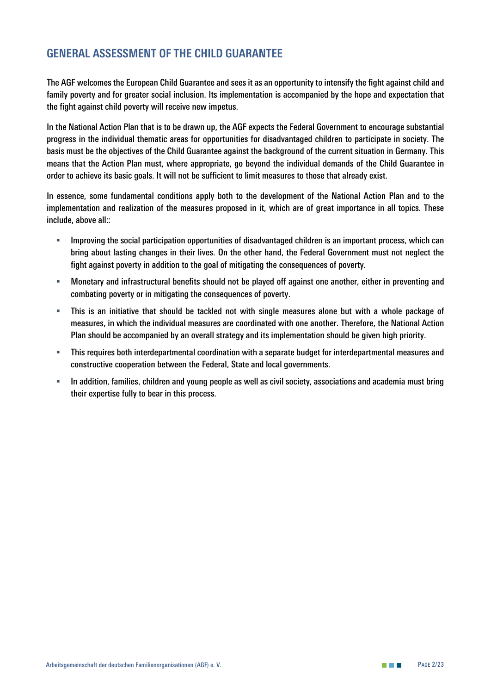# <span id="page-2-0"></span>**GENERAL ASSESSMENT OF THE CHILD GUARANTEE**

*The AGF welcomes the European Child Guarantee and sees it as an opportunity to intensify the fight against child and*  family poverty and for greater social inclusion. Its implementation is accompanied by the hope and expectation that *the fight against child poverty will receive new impetus.*

*In the National Action Plan that is to be drawn up, the AGF expects the Federal Government to encourage substantial progress in the individual thematic areas for opportunities for disadvantaged children to participate in society. The basis must be the objectives of the Child Guarantee against the background of the current situation in Germany. This means that the Action Plan must, where appropriate, go beyond the individual demands of the Child Guarantee in order to achieve its basic goals. It will not be sufficient to limit measures to those that already exist.*

*In essence, some fundamental conditions apply both to the development of the National Action Plan and to the implementation and realization of the measures proposed in it, which are of great importance in all topics. These include, above all::*

- *Improving the social participation opportunities of disadvantaged children is an important process, which can bring about lasting changes in their lives. On the other hand, the Federal Government must not neglect the fight against poverty in addition to the goal of mitigating the consequences of poverty.*
- *Monetary and infrastructural benefits should not be played off against one another, either in preventing and combating poverty or in mitigating the consequences of poverty.*
- *This is an initiative that should be tackled not with single measures alone but with a whole package of measures, in which the individual measures are coordinated with one another. Therefore, the National Action Plan should be accompanied by an overall strategy and its implementation should be given high priority.*
- *This requires both interdepartmental coordination with a separate budget for interdepartmental measures and constructive cooperation between the Federal, State and local governments.*
- *In addition, families, children and young people as well as civil society, associations and academia must bring their expertise fully to bear in this process.*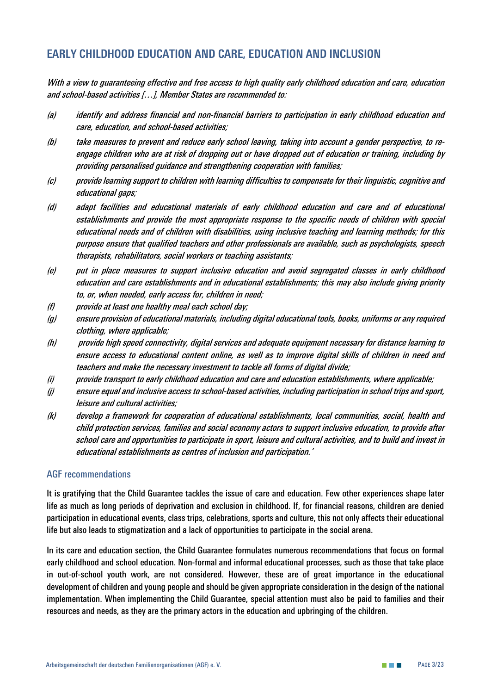# <span id="page-3-0"></span>**EARLY CHILDHOOD EDUCATION AND CARE, EDUCATION AND INCLUSION**

*With a view to guaranteeing effective and free access to high quality early childhood education and care, education and school-based activities […], Member States are recommended to:*

- *(a) identify and address financial and non-financial barriers to participation in early childhood education and care, education, and school-based activities;*
- *(b) take measures to prevent and reduce early school leaving, taking into account a gender perspective, to reengage children who are at risk of dropping out or have dropped out of education or training, including by providing personalised guidance and strengthening cooperation with families;*
- *(c) provide learning support to children with learning difficulties to compensate for their linguistic, cognitive and educational gaps;*
- *(d) adapt facilities and educational materials of early childhood education and care and of educational establishments and provide the most appropriate response to the specific needs of children with special educational needs and of children with disabilities, using inclusive teaching and learning methods; for this purpose ensure that qualified teachers and other professionals are available, such as psychologists, speech therapists, rehabilitators, social workers or teaching assistants;*
- *(e) put in place measures to support inclusive education and avoid segregated classes in early childhood education and care establishments and in educational establishments; this may also include giving priority to, or, when needed, early access for, children in need;*
- *(f) provide at least one healthy meal each school day;*
- *(g) ensure provision of educational materials, including digital educational tools, books, uniforms or any required clothing, where applicable;*
- *(h) provide high speed connectivity, digital services and adequate equipment necessary for distance learning to ensure access to educational content online, as well as to improve digital skills of children in need and teachers and make the necessary investment to tackle all forms of digital divide;*
- *(i) provide transport to early childhood education and care and education establishments, where applicable;*
- *(j) ensure equal and inclusive access to school-based activities, including participation in school trips and sport, leisure and cultural activities;*
- *(k) develop a framework for cooperation of educational establishments, local communities, social, health and child protection services, families and social economy actors to support inclusive education, to provide after school care and opportunities to participate in sport, leisure and cultural activities, and to build and invest in educational establishments as centres of inclusion and participation.'*

#### *AGF recommendations*

*It is gratifying that the Child Guarantee tackles the issue of care and education. Few other experiences shape later life as much as long periods of deprivation and exclusion in childhood. If, for financial reasons, children are denied participation in educational events, class trips, celebrations, sports and culture, this not only affects their educational life but also leads to stigmatization and a lack of opportunities to participate in the social arena.* 

In its care and education section, the Child Guarantee formulates numerous recommendations that focus on formal *early childhood and school education. Non-formal and informal educational processes, such as those that take place in out-of-school youth work, are not considered. However, these are of great importance in the educational development of children and young people and should be given appropriate consideration in the design of the national implementation. When implementing the Child Guarantee, special attention must also be paid to families and their resources and needs, as they are the primary actors in the education and upbringing of the children.*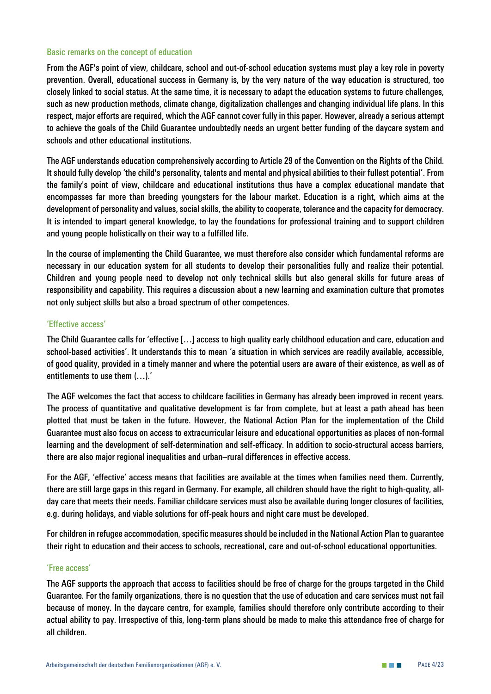#### *Basic remarks on the concept of education*

*From the AGF's point of view, childcare, school and out-of-school education systems must play a key role in poverty prevention. Overall, educational success in Germany is, by the very nature of the way education is structured, too closely linked to social status. At the same time, it is necessary to adapt the education systems to future challenges, such as new production methods, climate change, digitalization challenges and changing individual life plans. In this respect, major efforts are required, which the AGF cannot cover fully in this paper. However, already a serious attempt to achieve the goals of the Child Guarantee undoubtedly needs an urgent better funding of the daycare system and schools and other educational institutions.* 

*The AGF understands education comprehensively according to Article 29 of the Convention on the Rights of the Child. It should fully develop 'the child's personality, talents and mental and physical abilities to their fullest potential'. From the family's point of view, childcare and educational institutions thus have a complex educational mandate that encompasses far more than breeding youngsters for the labour market. Education is a right, which aims at the development of personality and values, social skills, the ability to cooperate, tolerance and the capacity for democracy. It is intended to impart general knowledge, to lay the foundations for professional training and to support children and young people holistically on their way to a fulfilled life.* 

*In the course of implementing the Child Guarantee, we must therefore also consider which fundamental reforms are necessary in our education system for all students to develop their personalities fully and realize their potential. Children and young people need to develop not only technical skills but also general skills for future areas of responsibility and capability. This requires a discussion about a new learning and examination culture that promotes not only subject skills but also a broad spectrum of other competences.*

#### *'Effective access'*

*The Child Guarantee calls for 'effective […] access to high quality early childhood education and care, education and school-based activities'. It understands this to mean 'a situation in which services are readily available, accessible, of good quality, provided in a timely manner and where the potential users are aware of their existence, as well as of entitlements to use them (…).'*

*The AGF welcomes the fact that access to childcare facilities in Germany has already been improved in recent years. The process of quantitative and qualitative development is far from complete, but at least a path ahead has been plotted that must be taken in the future. However, the National Action Plan for the implementation of the Child Guarantee must also focus on access to extracurricular leisure and educational opportunities as places of non-formal learning and the development of self-determination and self-efficacy. In addition to socio-structural access barriers, there are also major regional inequalities and urban–rural differences in effective access.*

*For the AGF, 'effective' access means that facilities are available at the times when families need them. Currently, there are still large gaps in this regard in Germany. For example, all children should have the right to high-quality, allday care that meets their needs. Familiar childcare services must also be available during longer closures of facilities, e.g. during holidays, and viable solutions for off-peak hours and night care must be developed.*

*For children in refugee accommodation, specific measures should be included in the National Action Plan to guarantee their right to education and their access to schools, recreational, care and out-of-school educational opportunities.* 

#### *'Free access'*

*The AGF supports the approach that access to facilities should be free of charge for the groups targeted in the Child Guarantee. For the family organizations, there is no question that the use of education and care services must not fail because of money. In the daycare centre, for example, families should therefore only contribute according to their actual ability to pay. Irrespective of this, long-term plans should be made to make this attendance free of charge for all children.*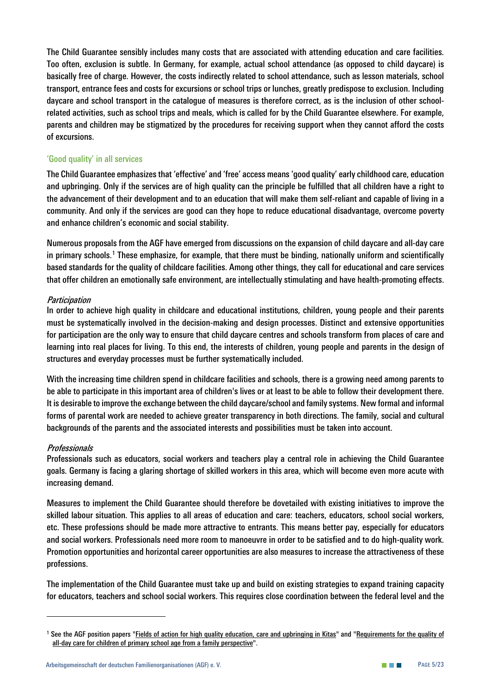*The Child Guarantee sensibly includes many costs that are associated with attending education and care facilities. Too often, exclusion is subtle. In Germany, for example, actual school attendance (as opposed to child daycare) is basically free of charge. However, the costs indirectly related to school attendance, such as lesson materials, school transport, entrance fees and costs for excursions or school trips or lunches, greatly predispose to exclusion. Including daycare and school transport in the catalogue of measures is therefore correct, as is the inclusion of other schoolrelated activities, such as school trips and meals, which is called for by the Child Guarantee elsewhere. For example, parents and children may be stigmatized by the procedures for receiving support when they cannot afford the costs of excursions.*

#### *'Good quality' in all services*

*The Child Guarantee emphasizes that 'effective' and 'free' access means 'good quality' early childhood care, education and upbringing. Only if the services are of high quality can the principle be fulfilled that all children have a right to the advancement of their development and to an education that will make them self-reliant and capable of living in a community. And only if the services are good can they hope to reduce educational disadvantage, overcome poverty and enhance children's economic and social stability.* 

*Numerous proposals from the AGF have emerged from discussions on the expansion of child daycare and all-day care in primary schools.[1](#page-5-0) These emphasize, for example, that there must be binding, nationally uniform and scientifically based standards for the quality of childcare facilities. Among other things, they call for educational and care services that offer children an emotionally safe environment, are intellectually stimulating and have health-promoting effects.* 

#### *Participation*

*In order to achieve high quality in childcare and educational institutions, children, young people and their parents must be systematically involved in the decision-making and design processes. Distinct and extensive opportunities for participation are the only way to ensure that child daycare centres and schools transform from places of care and learning into real places for living. To this end, the interests of children, young people and parents in the design of structures and everyday processes must be further systematically included.*

*With the increasing time children spend in childcare facilities and schools, there is a growing need among parents to be able to participate in this important area of children's lives or at least to be able to follow their development there. It is desirable to improve the exchange between the child daycare/school and family systems. New formal and informal forms of parental work are needed to achieve greater transparency in both directions. The family, social and cultural backgrounds of the parents and the associated interests and possibilities must be taken into account.* 

#### *Professionals*

*Professionals such as educators, social workers and teachers play a central role in achieving the Child Guarantee goals. Germany is facing a glaring shortage of skilled workers in this area, which will become even more acute with increasing demand.* 

*Measures to implement the Child Guarantee should therefore be dovetailed with existing initiatives to improve the skilled labour situation. This applies to all areas of education and care: teachers, educators, school social workers, etc. These professions should be made more attractive to entrants. This means better pay, especially for educators and social workers. Professionals need more room to manoeuvre in order to be satisfied and to do high-quality work. Promotion opportunities and horizontal career opportunities are also measures to increase the attractiveness of these professions.* 

*The implementation of the Child Guarantee must take up and build on existing strategies to expand training capacity for educators, teachers and school social workers. This requires close coordination between the federal level and the* 

<span id="page-5-0"></span>*<sup>1</sup> See the AGF position papers ["Fields of action for high quality education, care and upbringing in Kitas"](https://www.ag-familie.de/media/docs16/AGF_Position_Kitaqualitaet_April16.pdf) and ["Requirements for the quality of](https://www.ag-familie.de/media/docs20/AGF_Positionspapier_Ganztagsbetreung_Grundschulen_Juni_2020.pdf)  [all-day care for children of primary school age from a family perspective"](https://www.ag-familie.de/media/docs20/AGF_Positionspapier_Ganztagsbetreung_Grundschulen_Juni_2020.pdf).*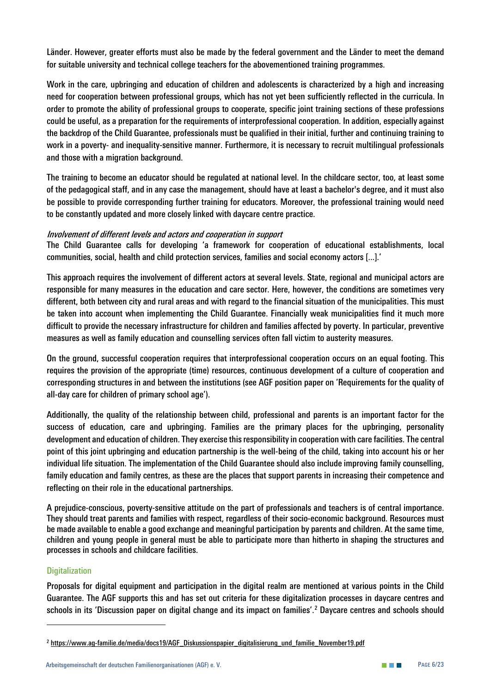Länder. However, greater efforts must also be made by the federal government and the Länder to meet the demand *for suitable university and technical college teachers for the abovementioned training programmes.* 

*Work in the care, upbringing and education of children and adolescents is characterized by a high and increasing need for cooperation between professional groups, which has not yet been sufficiently reflected in the curricula. In order to promote the ability of professional groups to cooperate, specific joint training sections of these professions could be useful, as a preparation for the requirements of interprofessional cooperation. In addition, especially against the backdrop of the Child Guarantee, professionals must be qualified in their initial, further and continuing training to work in a poverty- and inequality-sensitive manner. Furthermore, it is necessary to recruit multilingual professionals and those with a migration background.*

*The training to become an educator should be regulated at national level. In the childcare sector, too, at least some of the pedagogical staff, and in any case the management, should have at least a bachelor's degree, and it must also be possible to provide corresponding further training for educators. Moreover, the professional training would need to be constantly updated and more closely linked with daycare centre practice.*

#### *Involvement of different levels and actors and cooperation in support*

*The Child Guarantee calls for developing 'a framework for cooperation of educational establishments, local communities, social, health and child protection services, families and social economy actors [...].'*

*This approach requires the involvement of different actors at several levels. State, regional and municipal actors are responsible for many measures in the education and care sector. Here, however, the conditions are sometimes very different, both between city and rural areas and with regard to the financial situation of the municipalities. This must be taken into account when implementing the Child Guarantee. Financially weak municipalities find it much more difficult to provide the necessary infrastructure for children and families affected by poverty. In particular, preventive measures as well as family education and counselling services often fall victim to austerity measures.*

*On the ground, successful cooperation requires that interprofessional cooperation occurs on an equal footing. This requires the provision of the appropriate (time) resources, continuous development of a culture of cooperation and corresponding structures in and between the institutions (see AGF position paper on 'Requirements for the quality of all-day care for children of primary school age').* 

*Additionally, the quality of the relationship between child, professional and parents is an important factor for the success of education, care and upbringing. Families are the primary places for the upbringing, personality development and education of children. They exercise this responsibility in cooperation with care facilities. The central point of this joint upbringing and education partnership is the well-being of the child, taking into account his or her individual life situation. The implementation of the Child Guarantee should also include improving family counselling, family education and family centres, as these are the places that support parents in increasing their competence and reflecting on their role in the educational partnerships.*

*A prejudice-conscious, poverty-sensitive attitude on the part of professionals and teachers is of central importance. They should treat parents and families with respect, regardless of their socio-economic background. Resources must be made available to enable a good exchange and meaningful participation by parents and children. At the same time, children and young people in general must be able to participate more than hitherto in shaping the structures and processes in schools and childcare facilities.*

#### *Digitalization*

*Proposals for digital equipment and participation in the digital realm are mentioned at various points in the Child Guarantee. The AGF supports this and has set out criteria for these digitalization processes in daycare centres and schools in its 'Discussion paper on digital change and its impact on families'. [2](#page-6-0) Daycare centres and schools should* 

<span id="page-6-0"></span>*<sup>2</sup> [https://www.ag-familie.de/media/docs19/AGF\\_Diskussionspapier\\_digitalisierung\\_und\\_familie\\_November19.pdf](https://www.ag-familie.de/media/docs19/AGF_Diskussionspapier_digitalisierung_und_familie_November19.pdf)*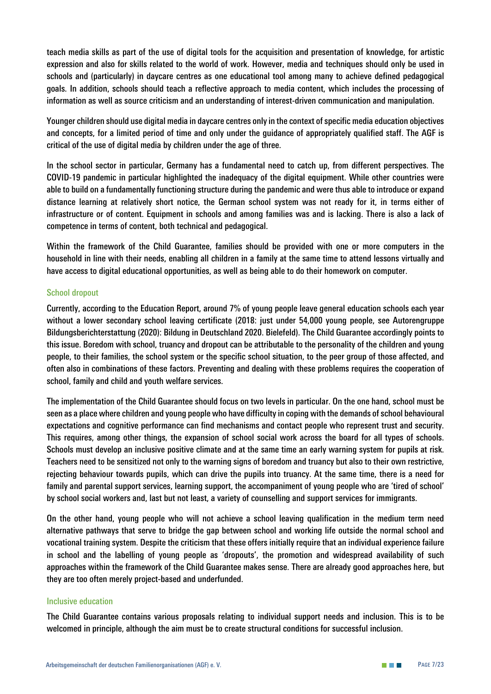*teach media skills as part of the use of digital tools for the acquisition and presentation of knowledge, for artistic expression and also for skills related to the world of work. However, media and techniques should only be used in schools and (particularly) in daycare centres as one educational tool among many to achieve defined pedagogical goals. In addition, schools should teach a reflective approach to media content, which includes the processing of information as well as source criticism and an understanding of interest-driven communication and manipulation.* 

*Younger children should use digital media in daycare centres only in the context of specific media education objectives and concepts, for a limited period of time and only under the guidance of appropriately qualified staff. The AGF is critical of the use of digital media by children under the age of three.* 

*In the school sector in particular, Germany has a fundamental need to catch up, from different perspectives. The COVID-19 pandemic in particular highlighted the inadequacy of the digital equipment. While other countries were able to build on a fundamentally functioning structure during the pandemic and were thus able to introduce or expand distance learning at relatively short notice, the German school system was not ready for it, in terms either of infrastructure or of content. Equipment in schools and among families was and is lacking. There is also a lack of competence in terms of content, both technical and pedagogical.* 

*Within the framework of the Child Guarantee, families should be provided with one or more computers in the household in line with their needs, enabling all children in a family at the same time to attend lessons virtually and have access to digital educational opportunities, as well as being able to do their homework on computer.* 

#### *School dropout*

*Currently, according to the Education Report, around 7% of young people leave general education schools each year without a lower secondary school leaving certificate (2018: just under 54,000 young people, see Autorengruppe Bildungsberichterstattung (2020): Bildung in Deutschland 2020. Bielefeld). The Child Guarantee accordingly points to this issue. Boredom with school, truancy and dropout can be attributable to the personality of the children and young people, to their families, the school system or the specific school situation, to the peer group of those affected, and often also in combinations of these factors. Preventing and dealing with these problems requires the cooperation of school, family and child and youth welfare services.* 

*The implementation of the Child Guarantee should focus on two levels in particular. On the one hand, school must be seen as a place where children and young people who have difficulty in coping with the demands of school behavioural expectations and cognitive performance can find mechanisms and contact people who represent trust and security. This requires, among other things, the expansion of school social work across the board for all types of schools. Schools must develop an inclusive positive climate and at the same time an early warning system for pupils at risk. Teachers need to be sensitized not only to the warning signs of boredom and truancy but also to their own restrictive, rejecting behaviour towards pupils, which can drive the pupils into truancy. At the same time, there is a need for family and parental support services, learning support, the accompaniment of young people who are 'tired of school' by school social workers and, last but not least, a variety of counselling and support services for immigrants.* 

*On the other hand, young people who will not achieve a school leaving qualification in the medium term need alternative pathways that serve to bridge the gap between school and working life outside the normal school and vocational training system. Despite the criticism that these offers initially require that an individual experience failure in school and the labelling of young people as 'dropouts', the promotion and widespread availability of such approaches within the framework of the Child Guarantee makes sense. There are already good approaches here, but they are too often merely project-based and underfunded.* 

#### *Inclusive education*

*The Child Guarantee contains various proposals relating to individual support needs and inclusion. This is to be welcomed in principle, although the aim must be to create structural conditions for successful inclusion.*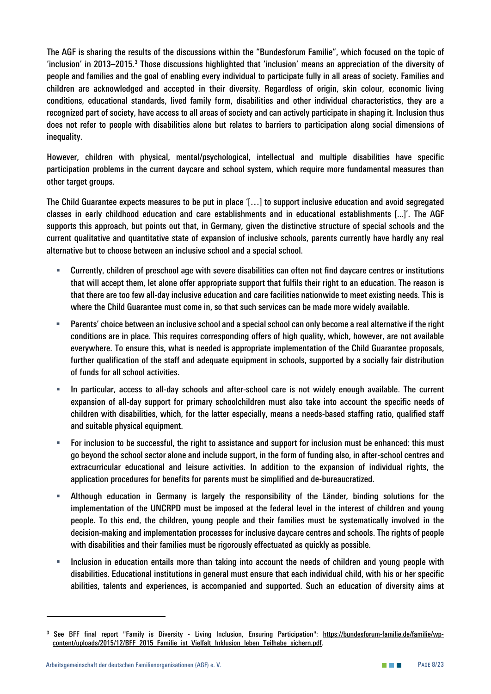*The AGF is sharing the results of the discussions within the "Bundesforum Familie", which focused on the topic of 'inclusion' in 2013–2015.[3](#page-8-0) Those discussions highlighted that 'inclusion' means an appreciation of the diversity of people and families and the goal of enabling every individual to participate fully in all areas of society. Families and children are acknowledged and accepted in their diversity. Regardless of origin, skin colour, economic living conditions, educational standards, lived family form, disabilities and other individual characteristics, they are a recognized part of society, have access to all areas of society and can actively participate in shaping it. Inclusion thus does not refer to people with disabilities alone but relates to barriers to participation along social dimensions of inequality.* 

*However, children with physical, mental/psychological, intellectual and multiple disabilities have specific participation problems in the current daycare and school system, which require more fundamental measures than other target groups.*

*The Child Guarantee expects measures to be put in place '[…] to support inclusive education and avoid segregated classes in early childhood education and care establishments and in educational establishments [...]'. The AGF supports this approach, but points out that, in Germany, given the distinctive structure of special schools and the current qualitative and quantitative state of expansion of inclusive schools, parents currently have hardly any real alternative but to choose between an inclusive school and a special school.* 

- *Currently, children of preschool age with severe disabilities can often not find daycare centres or institutions that will accept them, let alone offer appropriate support that fulfils their right to an education. The reason is that there are too few all-day inclusive education and care facilities nationwide to meet existing needs. This is where the Child Guarantee must come in, so that such services can be made more widely available.*
- *Parents' choice between an inclusive school and a special school can only become a real alternative if the right conditions are in place. This requires corresponding offers of high quality, which, however, are not available everywhere. To ensure this, what is needed is appropriate implementation of the Child Guarantee proposals, further qualification of the staff and adequate equipment in schools, supported by a socially fair distribution of funds for all school activities.*
- *In particular, access to all-day schools and after-school care is not widely enough available. The current expansion of all-day support for primary schoolchildren must also take into account the specific needs of children with disabilities, which, for the latter especially, means a needs-based staffing ratio, qualified staff and suitable physical equipment.*
- *For inclusion to be successful, the right to assistance and support for inclusion must be enhanced: this must go beyond the school sector alone and include support, in the form of funding also, in after-school centres and extracurricular educational and leisure activities. In addition to the expansion of individual rights, the application procedures for benefits for parents must be simplified and de-bureaucratized.*
- *Although education in Germany is largely the responsibility of the Länder, binding solutions for the implementation of the UNCRPD must be imposed at the federal level in the interest of children and young people. To this end, the children, young people and their families must be systematically involved in the decision-making and implementation processes for inclusive daycare centres and schools. The rights of people with disabilities and their families must be rigorously effectuated as quickly as possible.*
- *Inclusion in education entails more than taking into account the needs of children and young people with disabilities. Educational institutions in general must ensure that each individual child, with his or her specific abilities, talents and experiences, is accompanied and supported. Such an education of diversity aims at*

<span id="page-8-0"></span>*<sup>3</sup> See BFF final report "Family is Diversity - Living Inclusion, Ensuring Participation": [https://bundesforum-familie.de/familie/wp](https://bundesforum-familie.de/familie/wp-content/uploads/2015/12/BFF_2015_Familie_ist_Vielfalt_Inklusion_leben_Teilhabe_sichern.pdf)[content/uploads/2015/12/BFF\\_2015\\_Familie\\_ist\\_Vielfalt\\_Inklusion\\_leben\\_Teilhabe\\_sichern.pdf.](https://bundesforum-familie.de/familie/wp-content/uploads/2015/12/BFF_2015_Familie_ist_Vielfalt_Inklusion_leben_Teilhabe_sichern.pdf)*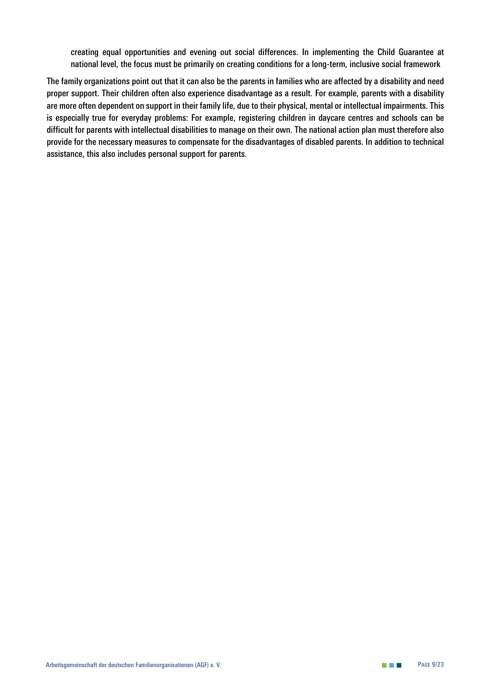*creating equal opportunities and evening out social differences. In implementing the Child Guarantee at national level, the focus must be primarily on creating conditions for a long-term, inclusive social framework*

*The family organizations point out that it can also be the parents in families who are affected by a disability and need proper support. Their children often also experience disadvantage as a result. For example, parents with a disability are more often dependent on support in their family life, due to their physical, mental or intellectual impairments. This is especially true for everyday problems: For example, registering children in daycare centres and schools can be difficult for parents with intellectual disabilities to manage on their own. The national action plan must therefore also provide for the necessary measures to compensate for the disadvantages of disabled parents. In addition to technical assistance, this also includes personal support for parents.*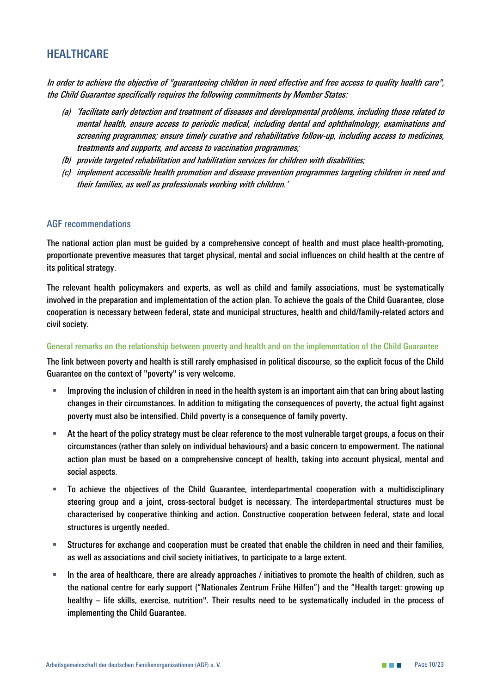# <span id="page-10-0"></span>**HEALTHCARE**

*In order to achieve the objective of "guaranteeing children in need effective and free access to quality health care", the Child Guarantee specifically requires the following commitments by Member States:*

- *(a) 'facilitate early detection and treatment of diseases and developmental problems, including those related to mental health, ensure access to periodic medical, including dental and ophthalmology, examinations and screening programmes; ensure timely curative and rehabilitative follow-up, including access to medicines, treatments and supports, and access to vaccination programmes;*
- *(b) provide targeted rehabilitation and habilitation services for children with disabilities;*
- *(c) implement accessible health promotion and disease prevention programmes targeting children in need and their families, as well as professionals working with children.'*

#### *AGF recommendations*

*The national action plan must be guided by a comprehensive concept of health and must place health-promoting, proportionate preventive measures that target physical, mental and social influences on child health at the centre of its political strategy.* 

*The relevant health policymakers and experts, as well as child and family associations, must be systematically involved in the preparation and implementation of the action plan. To achieve the goals of the Child Guarantee, close cooperation is necessary between federal, state and municipal structures, health and child/family-related actors and civil society.*

#### *General remarks on the relationship between poverty and health and on the implementation of the Child Guarantee*

*The link between poverty and health is still rarely emphasised in political discourse, so the explicit focus of the Child Guarantee on the context of "poverty" is very welcome.*

- **Improving the inclusion of children in need in the health system is an important aim that can bring about lasting <b>F** *changes in their circumstances. In addition to mitigating the consequences of poverty, the actual fight against poverty must also be intensified. Child poverty is a consequence of family poverty.*
- *At the heart of the policy strategy must be clear reference to the most vulnerable target groups, a focus on their circumstances (rather than solely on individual behaviours) and a basic concern to empowerment. The national action plan must be based on a comprehensive concept of health, taking into account physical, mental and social aspects.*
- *To achieve the objectives of the Child Guarantee, interdepartmental cooperation with a multidisciplinary steering group and a joint, cross-sectoral budget is necessary. The interdepartmental structures must be characterised by cooperative thinking and action. Constructive cooperation between federal, state and local structures is urgently needed.*
- *Structures for exchange and cooperation must be created that enable the children in need and their families, as well as associations and civil society initiatives, to participate to a large extent.*
- *In the area of healthcare, there are already approaches / initiatives to promote the health of children, such as the national centre for early support ("Nationales Zentrum Frühe Hilfen") and the "Health target: growing up healthy – life skills, exercise, nutrition". Their results need to be systematically included in the process of implementing the Child Guarantee.*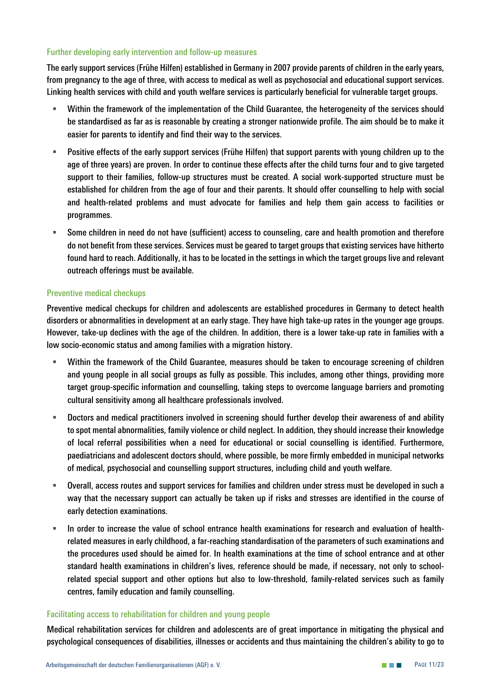#### *Further developing early intervention and follow-up measures*

*The early support services (Frühe Hilfen) established in Germany in 2007 provide parents of children in the early years, from pregnancy to the age of three, with access to medical as well as psychosocial and educational support services. Linking health services with child and youth welfare services is particularly beneficial for vulnerable target groups.* 

- *Within the framework of the implementation of the Child Guarantee, the heterogeneity of the services should*  be standardised as far as is reasonable by creating a stronger nationwide profile. The aim should be to make it *easier for parents to identify and find their way to the services.*
- **Positive effects of the early support services (Frühe Hilfen) that support parents with young children up to the** *age of three years) are proven. In order to continue these effects after the child turns four and to give targeted support to their families, follow-up structures must be created. A social work-supported structure must be established for children from the age of four and their parents. It should offer counselling to help with social and health-related problems and must advocate for families and help them gain access to facilities or programmes.*
- *Some children in need do not have (sufficient) access to counseling, care and health promotion and therefore do not benefit from these services. Services must be geared to target groups that existing services have hitherto found hard to reach. Additionally, it has to be located in the settings in which the target groups live and relevant outreach offerings must be available.*

#### *Preventive medical checkups*

*Preventive medical checkups for children and adolescents are established procedures in Germany to detect health disorders or abnormalities in development at an early stage. They have high take-up rates in the younger age groups. However, take-up declines with the age of the children. In addition, there is a lower take-up rate in families with a low socio-economic status and among families with a migration history.* 

- *Within the framework of the Child Guarantee, measures should be taken to encourage screening of children and young people in all social groups as fully as possible. This includes, among other things, providing more target group-specific information and counselling, taking steps to overcome language barriers and promoting cultural sensitivity among all healthcare professionals involved.*
- *Doctors and medical practitioners involved in screening should further develop their awareness of and ability to spot mental abnormalities, family violence or child neglect. In addition, they should increase their knowledge of local referral possibilities when a need for educational or social counselling is identified. Furthermore, paediatricians and adolescent doctors should, where possible, be more firmly embedded in municipal networks of medical, psychosocial and counselling support structures, including child and youth welfare.*
- *Overall, access routes and support services for families and children under stress must be developed in such a way that the necessary support can actually be taken up if risks and stresses are identified in the course of early detection examinations.*
- *In order to increase the value of school entrance health examinations for research and evaluation of healthrelated measures in early childhood, a far-reaching standardisation of the parameters of such examinations and the procedures used should be aimed for. In health examinations at the time of school entrance and at other standard health examinations in children's lives, reference should be made, if necessary, not only to schoolrelated special support and other options but also to low-threshold, family-related services such as family centres, family education and family counselling.*

#### *Facilitating access to rehabilitation for children and young people*

*Medical rehabilitation services for children and adolescents are of great importance in mitigating the physical and psychological consequences of disabilities, illnesses or accidents and thus maintaining the children's ability to go to*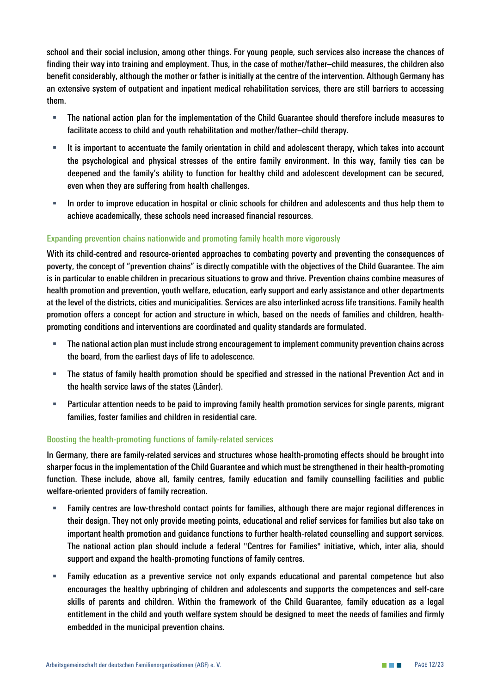*school and their social inclusion, among other things. For young people, such services also increase the chances of finding their way into training and employment. Thus, in the case of mother/father–child measures, the children also benefit considerably, although the mother or father is initially at the centre of the intervention. Although Germany has an extensive system of outpatient and inpatient medical rehabilitation services, there are still barriers to accessing them.* 

- *The national action plan for the implementation of the Child Guarantee should therefore include measures to facilitate access to child and youth rehabilitation and mother/father–child therapy.*
- *It is important to accentuate the family orientation in child and adolescent therapy, which takes into account the psychological and physical stresses of the entire family environment. In this way, family ties can be deepened and the family's ability to function for healthy child and adolescent development can be secured, even when they are suffering from health challenges.*
- *In order to improve education in hospital or clinic schools for children and adolescents and thus help them to achieve academically, these schools need increased financial resources.*

#### *Expanding prevention chains nationwide and promoting family health more vigorously*

*With its child-centred and resource-oriented approaches to combating poverty and preventing the consequences of poverty, the concept of "prevention chains" is directly compatible with the objectives of the Child Guarantee. The aim is in particular to enable children in precarious situations to grow and thrive. Prevention chains combine measures of health promotion and prevention, youth welfare, education, early support and early assistance and other departments at the level of the districts, cities and municipalities. Services are also interlinked across life transitions. Family health promotion offers a concept for action and structure in which, based on the needs of families and children, healthpromoting conditions and interventions are coordinated and quality standards are formulated.*

- *The national action plan must include strong encouragement to implement community prevention chains across the board, from the earliest days of life to adolescence.*
- *The status of family health promotion should be specified and stressed in the national Prevention Act and in the health service laws of the states (Länder).*
- **Particular attention needs to be paid to improving family health promotion services for single parents, migrant** *families, foster families and children in residential care.*

#### *Boosting the health-promoting functions of family-related services*

*In Germany, there are family-related services and structures whose health-promoting effects should be brought into sharper focus in the implementation of the Child Guarantee and which must be strengthened in their health-promoting function. These include, above all, family centres, family education and family counselling facilities and public welfare-oriented providers of family recreation.*

- *Family centres are low-threshold contact points for families, although there are major regional differences in their design. They not only provide meeting points, educational and relief services for families but also take on important health promotion and guidance functions to further health-related counselling and support services. The national action plan should include a federal "Centres for Families" initiative, which, inter alia, should support and expand the health-promoting functions of family centres.*
- *Family education as a preventive service not only expands educational and parental competence but also encourages the healthy upbringing of children and adolescents and supports the competences and self-care skills of parents and children. Within the framework of the Child Guarantee, family education as a legal entitlement in the child and youth welfare system should be designed to meet the needs of families and firmly embedded in the municipal prevention chains.*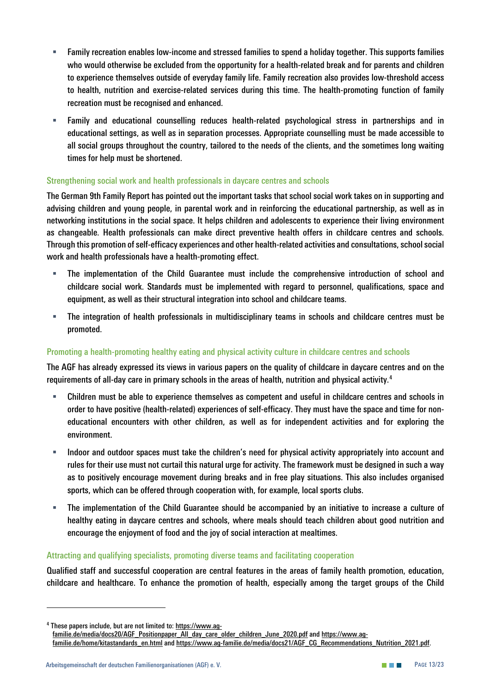- *Family recreation enables low-income and stressed families to spend a holiday together. This supports families who would otherwise be excluded from the opportunity for a health-related break and for parents and children to experience themselves outside of everyday family life. Family recreation also provides low-threshold access to health, nutrition and exercise-related services during this time. The health-promoting function of family recreation must be recognised and enhanced.*
- *Family and educational counselling reduces health-related psychological stress in partnerships and in educational settings, as well as in separation processes. Appropriate counselling must be made accessible to all social groups throughout the country, tailored to the needs of the clients, and the sometimes long waiting times for help must be shortened.*

#### *Strengthening social work and health professionals in daycare centres and schools*

*The German 9th Family Report has pointed out the important tasks that school social work takes on in supporting and advising children and young people, in parental work and in reinforcing the educational partnership, as well as in networking institutions in the social space. It helps children and adolescents to experience their living environment as changeable. Health professionals can make direct preventive health offers in childcare centres and schools. Through this promotion of self-efficacy experiences and other health-related activities and consultations, school social work and health professionals have a health-promoting effect.* 

- *The implementation of the Child Guarantee must include the comprehensive introduction of school and childcare social work. Standards must be implemented with regard to personnel, qualifications, space and equipment, as well as their structural integration into school and childcare teams.*
- *The integration of health professionals in multidisciplinary teams in schools and childcare centres must be promoted.*

#### *Promoting a health-promoting healthy eating and physical activity culture in childcare centres and schools*

*The AGF has already expressed its views in various papers on the quality of childcare in daycare centres and on the requirements of all-day care in primary schools in the areas of health, nutrition and physical activity. [4](#page-13-0)*

- *Children must be able to experience themselves as competent and useful in childcare centres and schools in order to have positive (health-related) experiences of self-efficacy. They must have the space and time for noneducational encounters with other children, as well as for independent activities and for exploring the environment.*
- *Indoor and outdoor spaces must take the children's need for physical activity appropriately into account and rules for their use must not curtail this natural urge for activity. The framework must be designed in such a way as to positively encourage movement during breaks and in free play situations. This also includes organised sports, which can be offered through cooperation with, for example, local sports clubs.*
- *The implementation of the Child Guarantee should be accompanied by an initiative to increase a culture of healthy eating in daycare centres and schools, where meals should teach children about good nutrition and encourage the enjoyment of food and the joy of social interaction at mealtimes.*

#### *Attracting and qualifying specialists, promoting diverse teams and facilitating cooperation*

*Qualified staff and successful cooperation are central features in the areas of family health promotion, education, childcare and healthcare. To enhance the promotion of health, especially among the target groups of the Child* 

<span id="page-13-0"></span>*<sup>4</sup> These papers include, but are not limited to: [https://www.ag-](https://www.ag-familie.de/media/docs20/AGF_Positionpaper_All_day_care_older_children_June_2020.pdf)*

*[familie.de/media/docs20/AGF\\_Positionpaper\\_All\\_day\\_care\\_older\\_children\\_June\\_2020.pdf](https://www.ag-familie.de/media/docs20/AGF_Positionpaper_All_day_care_older_children_June_2020.pdf) and [https://www.ag](https://www.ag-familie.de/home/kitastandards_en.html)[familie.de/home/kitastandards\\_en.html](https://www.ag-familie.de/home/kitastandards_en.html) and [https://www.ag-familie.de/media/docs21/AGF\\_CG\\_Recommendations\\_Nutrition\\_2021.pdf.](https://www.ag-familie.de/media/docs21/AGF_CG_Recommendations_Nutrition_2021.pdf)*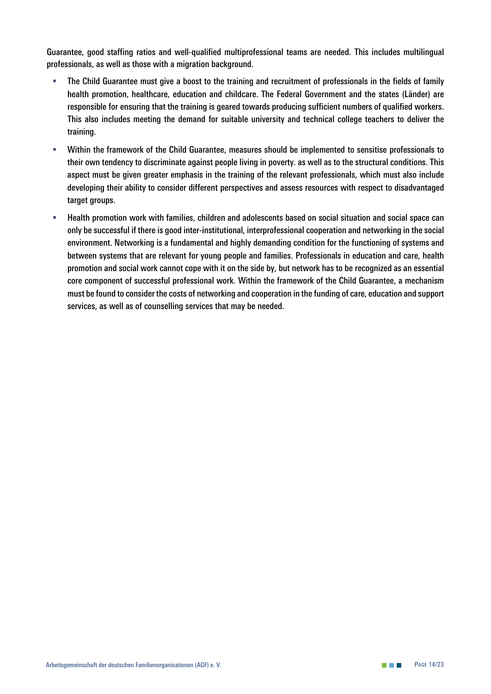*Guarantee, good staffing ratios and well-qualified multiprofessional teams are needed. This includes multilingual professionals, as well as those with a migration background.* 

- *The Child Guarantee must give a boost to the training and recruitment of professionals in the fields of family health promotion, healthcare, education and childcare. The Federal Government and the states (Länder) are responsible for ensuring that the training is geared towards producing sufficient numbers of qualified workers. This also includes meeting the demand for suitable university and technical college teachers to deliver the training.*
- *Within the framework of the Child Guarantee, measures should be implemented to sensitise professionals to their own tendency to discriminate against people living in poverty. as well as to the structural conditions. This aspect must be given greater emphasis in the training of the relevant professionals, which must also include developing their ability to consider different perspectives and assess resources with respect to disadvantaged target groups.*
- *Health promotion work with families, children and adolescents based on social situation and social space can only be successful if there is good inter-institutional, interprofessional cooperation and networking in the social environment. Networking is a fundamental and highly demanding condition for the functioning of systems and between systems that are relevant for young people and families. Professionals in education and care, health promotion and social work cannot cope with it on the side by, but network has to be recognized as an essential core component of successful professional work. Within the framework of the Child Guarantee, a mechanism must be found to consider the costs of networking and cooperation in the funding of care, education and support services, as well as of counselling services that may be needed.*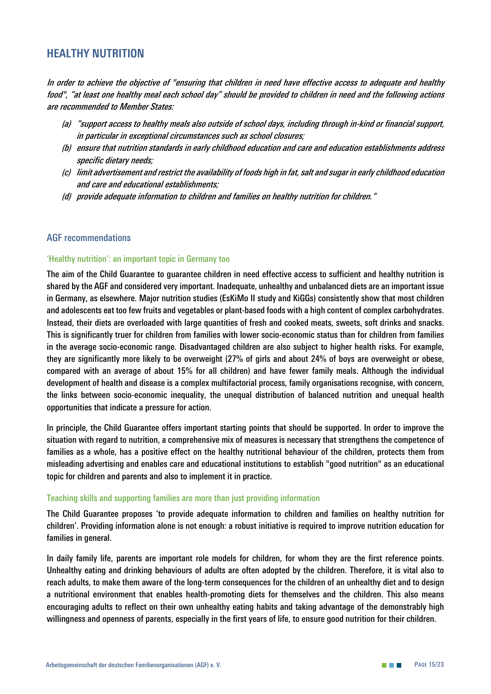# <span id="page-15-0"></span>**HEALTHY NUTRITION**

*In order to achieve the objective of "ensuring that children in need have effective access to adequate and healthy food", "at least one healthy meal each school day" should be provided to children in need and the following actions are recommended to Member States:* 

- *(a) "support access to healthy meals also outside of school days, including through in-kind or financial support, in particular in exceptional circumstances such as school closures;*
- *(b) ensure that nutrition standards in early childhood education and care and education establishments address specific dietary needs;*
- *(c) limit advertisement and restrict the availability of foods high in fat, salt and sugar in early childhood education and care and educational establishments;*
- *(d) provide adequate information to children and families on healthy nutrition for children."*

#### *AGF recommendations*

#### *'Healthy nutrition': an important topic in Germany too*

*The aim of the Child Guarantee to guarantee children in need effective access to sufficient and healthy nutrition is shared by the AGF and considered very important. Inadequate, unhealthy and unbalanced diets are an important issue in Germany, as elsewhere. Major nutrition studies (EsKiMo II study and KiGGs) consistently show that most children and adolescents eat too few fruits and vegetables or plant-based foods with a high content of complex carbohydrates. Instead, their diets are overloaded with large quantities of fresh and cooked meats, sweets, soft drinks and snacks. This is significantly truer for children from families with lower socio-economic status than for children from families in the average socio-economic range. Disadvantaged children are also subject to higher health risks. For example, they are significantly more likely to be overweight (27% of girls and about 24% of boys are overweight or obese, compared with an average of about 15% for all children) and have fewer family meals. Although the individual development of health and disease is a complex multifactorial process, family organisations recognise, with concern, the links between socio-economic inequality, the unequal distribution of balanced nutrition and unequal health opportunities that indicate a pressure for action.* 

*In principle, the Child Guarantee offers important starting points that should be supported. In order to improve the situation with regard to nutrition, a comprehensive mix of measures is necessary that strengthens the competence of families as a whole, has a positive effect on the healthy nutritional behaviour of the children, protects them from misleading advertising and enables care and educational institutions to establish "good nutrition" as an educational topic for children and parents and also to implement it in practice.* 

#### *Teaching skills and supporting families are more than just providing information*

*The Child Guarantee proposes 'to provide adequate information to children and families on healthy nutrition for children'. Providing information alone is not enough: a robust initiative is required to improve nutrition education for families in general.* 

*In daily family life, parents are important role models for children, for whom they are the first reference points. Unhealthy eating and drinking behaviours of adults are often adopted by the children. Therefore, it is vital also to reach adults, to make them aware of the long-term consequences for the children of an unhealthy diet and to design a nutritional environment that enables health-promoting diets for themselves and the children. This also means encouraging adults to reflect on their own unhealthy eating habits and taking advantage of the demonstrably high willingness and openness of parents, especially in the first years of life, to ensure good nutrition for their children.*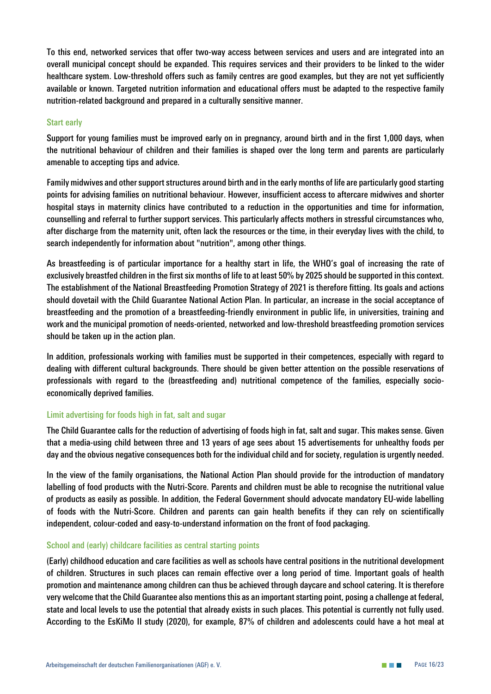*To this end, networked services that offer two-way access between services and users and are integrated into an overall municipal concept should be expanded. This requires services and their providers to be linked to the wider healthcare system. Low-threshold offers such as family centres are good examples, but they are not yet sufficiently available or known. Targeted nutrition information and educational offers must be adapted to the respective family nutrition-related background and prepared in a culturally sensitive manner.*

#### *Start early*

*Support for young families must be improved early on in pregnancy, around birth and in the first 1,000 days, when the nutritional behaviour of children and their families is shaped over the long term and parents are particularly amenable to accepting tips and advice.* 

*Family midwives and other support structures around birth and in the early months of life are particularly good starting points for advising families on nutritional behaviour. However, insufficient access to aftercare midwives and shorter hospital stays in maternity clinics have contributed to a reduction in the opportunities and time for information, counselling and referral to further support services. This particularly affects mothers in stressful circumstances who, after discharge from the maternity unit, often lack the resources or the time, in their everyday lives with the child, to search independently for information about "nutrition", among other things.* 

*As breastfeeding is of particular importance for a healthy start in life, the WHO's goal of increasing the rate of exclusively breastfed children in the first six months of life to at least 50% by 2025 should be supported in this context. The establishment of the National Breastfeeding Promotion Strategy of 2021 is therefore fitting. Its goals and actions should dovetail with the Child Guarantee National Action Plan. In particular, an increase in the social acceptance of breastfeeding and the promotion of a breastfeeding-friendly environment in public life, in universities, training and work and the municipal promotion of needs-oriented, networked and low-threshold breastfeeding promotion services should be taken up in the action plan.*

*In addition, professionals working with families must be supported in their competences, especially with regard to dealing with different cultural backgrounds. There should be given better attention on the possible reservations of professionals with regard to the (breastfeeding and) nutritional competence of the families, especially socioeconomically deprived families.*

#### *Limit advertising for foods high in fat, salt and sugar*

*The Child Guarantee calls for the reduction of advertising of foods high in fat, salt and sugar. This makes sense. Given that a media-using child between three and 13 years of age sees about 15 advertisements for unhealthy foods per day and the obvious negative consequences both for the individual child and for society, regulation is urgently needed.*

*In the view of the family organisations, the National Action Plan should provide for the introduction of mandatory labelling of food products with the Nutri-Score. Parents and children must be able to recognise the nutritional value of products as easily as possible. In addition, the Federal Government should advocate mandatory EU-wide labelling of foods with the Nutri-Score. Children and parents can gain health benefits if they can rely on scientifically independent, colour-coded and easy-to-understand information on the front of food packaging.* 

#### *School and (early) childcare facilities as central starting points*

*(Early) childhood education and care facilities as well as schools have central positions in the nutritional development of children. Structures in such places can remain effective over a long period of time. Important goals of health promotion and maintenance among children can thus be achieved through daycare and school catering. It is therefore very welcome that the Child Guarantee also mentions this as an important starting point, posing a challenge at federal, state and local levels to use the potential that already exists in such places. This potential is currently not fully used. According to the EsKiMo II study (2020), for example, 87% of children and adolescents could have a hot meal at*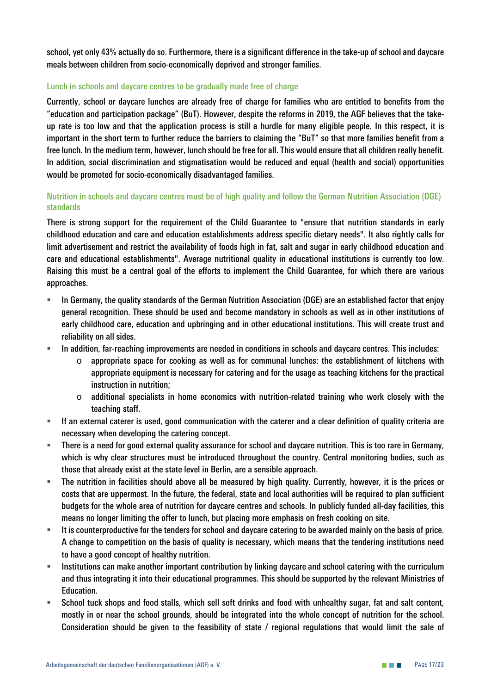*school, yet only 43% actually do so. Furthermore, there is a significant difference in the take-up of school and daycare meals between children from socio-economically deprived and stronger families.*

#### *Lunch in schools and daycare centres to be gradually made free of charge*

*Currently, school or daycare lunches are already free of charge for families who are entitled to benefits from the "education and participation package" (BuT). However, despite the reforms in 2019, the AGF believes that the takeup rate is too low and that the application process is still a hurdle for many eligible people. In this respect, it is important in the short term to further reduce the barriers to claiming the "BuT" so that more families benefit from a free lunch. In the medium term, however, lunch should be free for all. This would ensure that all children really benefit. In addition, social discrimination and stigmatisation would be reduced and equal (health and social) opportunities would be promoted for socio-economically disadvantaged families.*

#### *Nutrition in schools and daycare centres must be of high quality and follow the German Nutrition Association (DGE) standards*

*There is strong support for the requirement of the Child Guarantee to "ensure that nutrition standards in early childhood education and care and education establishments address specific dietary needs". It also rightly calls for limit advertisement and restrict the availability of foods high in fat, salt and sugar in early childhood education and care and educational establishments". Average nutritional quality in educational institutions is currently too low. Raising this must be a central goal of the efforts to implement the Child Guarantee, for which there are various approaches.* 

- *In Germany, the quality standards of the German Nutrition Association (DGE) are an established factor that enjoy general recognition. These should be used and become mandatory in schools as well as in other institutions of early childhood care, education and upbringing and in other educational institutions. This will create trust and reliability on all sides.*
- *In addition, far-reaching improvements are needed in conditions in schools and daycare centres. This includes:* 
	- o *appropriate space for cooking as well as for communal lunches: the establishment of kitchens with appropriate equipment is necessary for catering and for the usage as teaching kitchens for the practical instruction in nutrition;*
	- o *additional specialists in home economics with nutrition-related training who work closely with the teaching staff.*
- *If an external caterer is used, good communication with the caterer and a clear definition of quality criteria are necessary when developing the catering concept.*
- *There is a need for good external quality assurance for school and daycare nutrition. This is too rare in Germany, which is why clear structures must be introduced throughout the country. Central monitoring bodies, such as those that already exist at the state level in Berlin, are a sensible approach.*
- *The nutrition in facilities should above all be measured by high quality. Currently, however, it is the prices or costs that are uppermost. In the future, the federal, state and local authorities will be required to plan sufficient budgets for the whole area of nutrition for daycare centres and schools. In publicly funded all-day facilities, this means no longer limiting the offer to lunch, but placing more emphasis on fresh cooking on site.*
- *It is counterproductive for the tenders for school and daycare catering to be awarded mainly on the basis of price. A change to competition on the basis of quality is necessary, which means that the tendering institutions need to have a good concept of healthy nutrition.*
- *Institutions can make another important contribution by linking daycare and school catering with the curriculum and thus integrating it into their educational programmes. This should be supported by the relevant Ministries of Education.*
- *School tuck shops and food stalls, which sell soft drinks and food with unhealthy sugar, fat and salt content, mostly in or near the school grounds, should be integrated into the whole concept of nutrition for the school. Consideration should be given to the feasibility of state / regional regulations that would limit the sale of*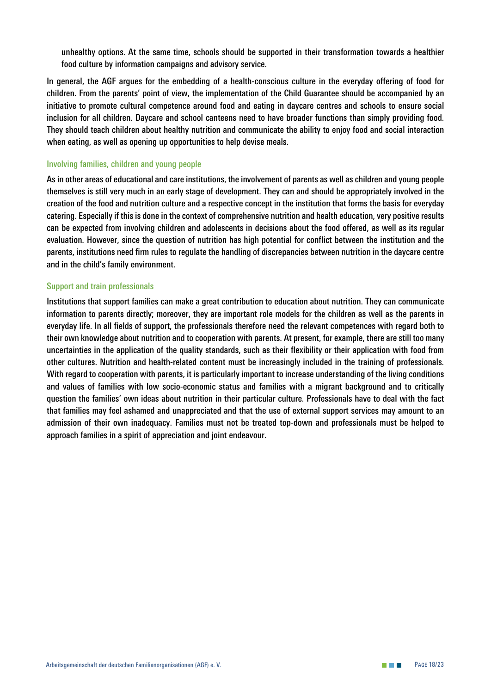*unhealthy options. At the same time, schools should be supported in their transformation towards a healthier food culture by information campaigns and advisory service.*

*In general, the AGF argues for the embedding of a health-conscious culture in the everyday offering of food for children. From the parents' point of view, the implementation of the Child Guarantee should be accompanied by an initiative to promote cultural competence around food and eating in daycare centres and schools to ensure social inclusion for all children. Daycare and school canteens need to have broader functions than simply providing food. They should teach children about healthy nutrition and communicate the ability to enjoy food and social interaction when eating, as well as opening up opportunities to help devise meals.*

#### *Involving families, children and young people*

*As in other areas of educational and care institutions, the involvement of parents as well as children and young people themselves is still very much in an early stage of development. They can and should be appropriately involved in the creation of the food and nutrition culture and a respective concept in the institution that forms the basis for everyday catering. Especially if this is done in the context of comprehensive nutrition and health education, very positive results can be expected from involving children and adolescents in decisions about the food offered, as well as its regular evaluation. However, since the question of nutrition has high potential for conflict between the institution and the parents, institutions need firm rules to regulate the handling of discrepancies between nutrition in the daycare centre and in the child's family environment.* 

#### *Support and train professionals*

*Institutions that support families can make a great contribution to education about nutrition. They can communicate information to parents directly; moreover, they are important role models for the children as well as the parents in everyday life. In all fields of support, the professionals therefore need the relevant competences with regard both to their own knowledge about nutrition and to cooperation with parents. At present, for example, there are still too many uncertainties in the application of the quality standards, such as their flexibility or their application with food from other cultures. Nutrition and health-related content must be increasingly included in the training of professionals. With regard to cooperation with parents, it is particularly important to increase understanding of the living conditions and values of families with low socio-economic status and families with a migrant background and to critically question the families' own ideas about nutrition in their particular culture. Professionals have to deal with the fact that families may feel ashamed and unappreciated and that the use of external support services may amount to an admission of their own inadequacy. Families must not be treated top-down and professionals must be helped to approach families in a spirit of appreciation and joint endeavour.*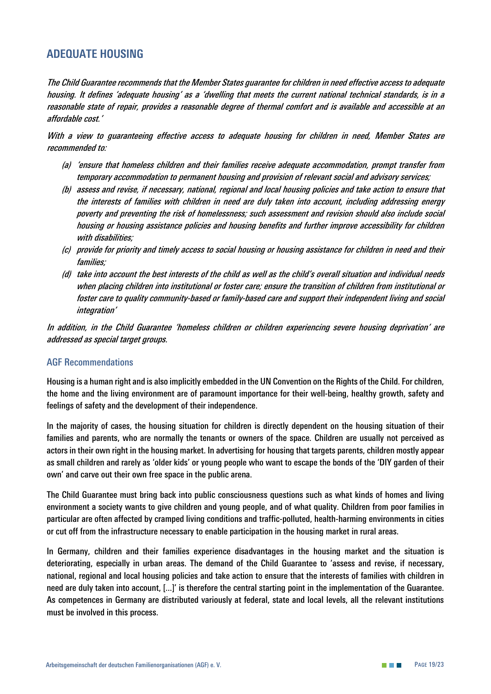# <span id="page-19-0"></span>**ADEQUATE HOUSING**

*The Child Guarantee recommends that the Member States guarantee for children in need effective access to adequate housing. It defines 'adequate housing' as a 'dwelling that meets the current national technical standards, is in a reasonable state of repair, provides a reasonable degree of thermal comfort and is available and accessible at an affordable cost.'*

*With a view to guaranteeing effective access to adequate housing for children in need, Member States are recommended to:*

- *(a) 'ensure that homeless children and their families receive adequate accommodation, prompt transfer from temporary accommodation to permanent housing and provision of relevant social and advisory services;*
- *(b) assess and revise, if necessary, national, regional and local housing policies and take action to ensure that the interests of families with children in need are duly taken into account, including addressing energy poverty and preventing the risk of homelessness; such assessment and revision should also include social housing or housing assistance policies and housing benefits and further improve accessibility for children with disabilities;*
- *(c) provide for priority and timely access to social housing or housing assistance for children in need and their families;*
- *(d) take into account the best interests of the child as well as the child's overall situation and individual needs when placing children into institutional or foster care; ensure the transition of children from institutional or foster care to quality community-based or family-based care and support their independent living and social integration'*

*In addition, in the Child Guarantee 'homeless children or children experiencing severe housing deprivation' are addressed as special target groups.*

#### *AGF Recommendations*

*Housing is a human right and is also implicitly embedded in the UN Convention on the Rights of the Child. For children, the home and the living environment are of paramount importance for their well-being, healthy growth, safety and feelings of safety and the development of their independence.* 

*In the majority of cases, the housing situation for children is directly dependent on the housing situation of their families and parents, who are normally the tenants or owners of the space. Children are usually not perceived as actors in their own right in the housing market. In advertising for housing that targets parents, children mostly appear as small children and rarely as 'older kids' or young people who want to escape the bonds of the 'DIY garden of their own' and carve out their own free space in the public arena.* 

*The Child Guarantee must bring back into public consciousness questions such as what kinds of homes and living environment a society wants to give children and young people, and of what quality. Children from poor families in particular are often affected by cramped living conditions and traffic-polluted, health-harming environments in cities or cut off from the infrastructure necessary to enable participation in the housing market in rural areas.* 

*In Germany, children and their families experience disadvantages in the housing market and the situation is deteriorating, especially in urban areas. The demand of the Child Guarantee to 'assess and revise, if necessary, national, regional and local housing policies and take action to ensure that the interests of families with children in need are duly taken into account, [...]' is therefore the central starting point in the implementation of the Guarantee. As competences in Germany are distributed variously at federal, state and local levels, all the relevant institutions must be involved in this process.*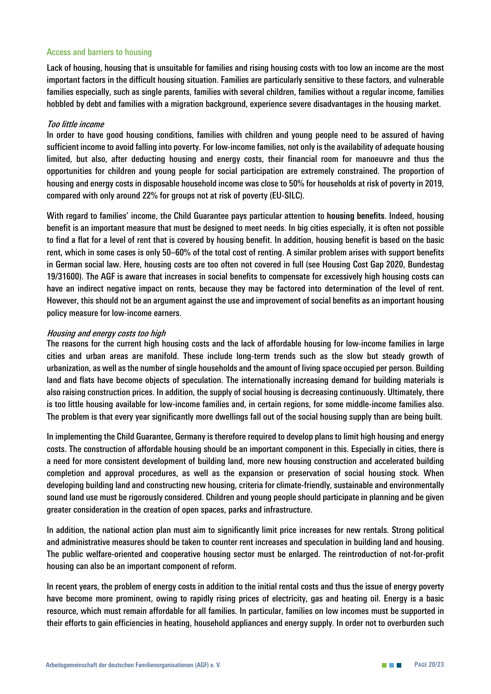#### *Access and barriers to housing*

*Lack of housing, housing that is unsuitable for families and rising housing costs with too low an income are the most important factors in the difficult housing situation. Families are particularly sensitive to these factors, and vulnerable families especially, such as single parents, families with several children, families without a regular income, families hobbled by debt and families with a migration background, experience severe disadvantages in the housing market.*

#### *Too little income*

In order to have good housing conditions, families with children and young people need to be assured of having *sufficient income to avoid falling into poverty. For low-income families, not only is the availability of adequate housing limited, but also, after deducting housing and energy costs, their financial room for manoeuvre and thus the opportunities for children and young people for social participation are extremely constrained. The proportion of housing and energy costs in disposable household income was close to 50% for households at risk of poverty in 2019, compared with only around 22% for groups not at risk of poverty (EU-SILC).* 

*With regard to families' income, the Child Guarantee pays particular attention to* **housing benefits***. Indeed, housing benefit is an important measure that must be designed to meet needs. In big cities especially, it is often not possible to find a flat for a level of rent that is covered by housing benefit. In addition, housing benefit is based on the basic rent, which in some cases is only 50–60% of the total cost of renting. A similar problem arises with support benefits in German social law***.** *Here, housing costs are too often not covered in full (see Housing Cost Gap 2020, Bundestag 19/31600). The AGF is aware that increases in social benefits to compensate for excessively high housing costs can have an indirect negative impact on rents, because they may be factored into determination of the level of rent. However, this should not be an argument against the use and improvement of social benefits as an important housing policy measure for low-income earners.*

#### *Housing and energy costs too high*

*The reasons for the current high housing costs and the lack of affordable housing for low-income families in large cities and urban areas are manifold. These include long-term trends such as the slow but steady growth of urbanization, as well as the number of single households and the amount of living space occupied per person. Building*  land and flats have become objects of speculation. The internationally increasing demand for building materials is *also raising construction prices. In addition, the supply of social housing is decreasing continuously. Ultimately, there is too little housing available for low-income families and, in certain regions, for some middle-income families also. The problem is that every year significantly more dwellings fall out of the social housing supply than are being built.* 

*In implementing the Child Guarantee, Germany is therefore required to develop plans to limit high housing and energy costs. The construction of affordable housing should be an important component in this. Especially in cities, there is a need for more consistent development of building land, more new housing construction and accelerated building completion and approval procedures, as well as the expansion or preservation of social housing stock. When developing building land and constructing new housing, criteria for climate-friendly, sustainable and environmentally sound land use must be rigorously considered. Children and young people should participate in planning and be given greater consideration in the creation of open spaces, parks and infrastructure.* 

*In addition, the national action plan must aim to significantly limit price increases for new rentals. Strong political and administrative measures should be taken to counter rent increases and speculation in building land and housing. The public welfare-oriented and cooperative housing sector must be enlarged. The reintroduction of not-for-profit housing can also be an important component of reform.*

*In recent years, the problem of energy costs in addition to the initial rental costs and thus the issue of energy poverty have become more prominent, owing to rapidly rising prices of electricity, gas and heating oil. Energy is a basic resource, which must remain affordable for all families. In particular, families on low incomes must be supported in their efforts to gain efficiencies in heating, household appliances and energy supply. In order not to overburden such*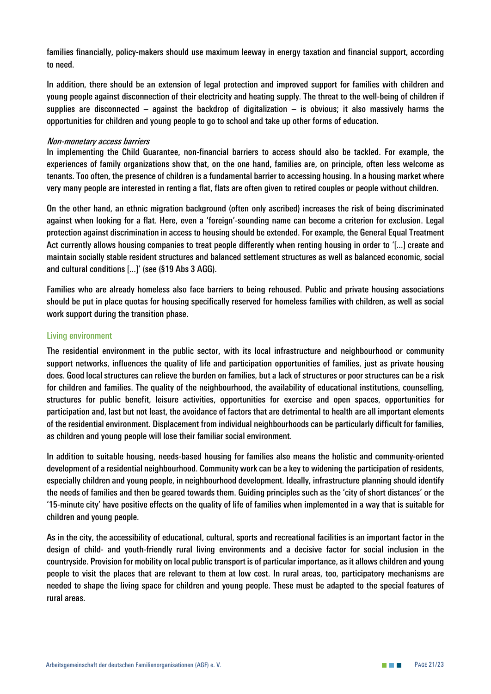*families financially, policy-makers should use maximum leeway in energy taxation and financial support, according to need.* 

*In addition, there should be an extension of legal protection and improved support for families with children and young people against disconnection of their electricity and heating supply. The threat to the well-being of children if supplies are disconnected – against the backdrop of digitalization – is obvious; it also massively harms the opportunities for children and young people to go to school and take up other forms of education.*

#### *Non-monetary access barriers*

*In implementing the Child Guarantee, non-financial barriers to access should also be tackled. For example, the experiences of family organizations show that, on the one hand, families are, on principle, often less welcome as tenants. Too often, the presence of children is a fundamental barrier to accessing housing. In a housing market where very many people are interested in renting a flat, flats are often given to retired couples or people without children.*

*On the other hand, an ethnic migration background (often only ascribed) increases the risk of being discriminated against when looking for a flat. Here, even a 'foreign'-sounding name can become a criterion for exclusion. Legal protection against discrimination in access to housing should be extended. For example, the General Equal Treatment Act currently allows housing companies to treat people differently when renting housing in order to '[...] create and maintain socially stable resident structures and balanced settlement structures as well as balanced economic, social and cultural conditions [...]' (see (§19 Abs 3 AGG).*

*Families who are already homeless also face barriers to being rehoused. Public and private housing associations should be put in place quotas for housing specifically reserved for homeless families with children, as well as social work support during the transition phase.* 

#### *Living environment*

*The residential environment in the public sector, with its local infrastructure and neighbourhood or community support networks, influences the quality of life and participation opportunities of families, just as private housing does. Good local structures can relieve the burden on families, but a lack of structures or poor structures can be a risk for children and families. The quality of the neighbourhood, the availability of educational institutions, counselling, structures for public benefit, leisure activities, opportunities for exercise and open spaces, opportunities for participation and, last but not least, the avoidance of factors that are detrimental to health are all important elements of the residential environment. Displacement from individual neighbourhoods can be particularly difficult for families, as children and young people will lose their familiar social environment.* 

*In addition to suitable housing, needs-based housing for families also means the holistic and community-oriented development of a residential neighbourhood. Community work can be a key to widening the participation of residents, especially children and young people, in neighbourhood development. Ideally, infrastructure planning should identify the needs of families and then be geared towards them. Guiding principles such as the 'city of short distances' or the '15-minute city' have positive effects on the quality of life of families when implemented in a way that is suitable for children and young people.*

*As in the city, the accessibility of educational, cultural, sports and recreational facilities is an important factor in the design of child- and youth-friendly rural living environments and a decisive factor for social inclusion in the countryside. Provision for mobility on local public transport is of particular importance, as it allows children and young people to visit the places that are relevant to them at low cost. In rural areas, too, participatory mechanisms are needed to shape the living space for children and young people. These must be adapted to the special features of rural areas.*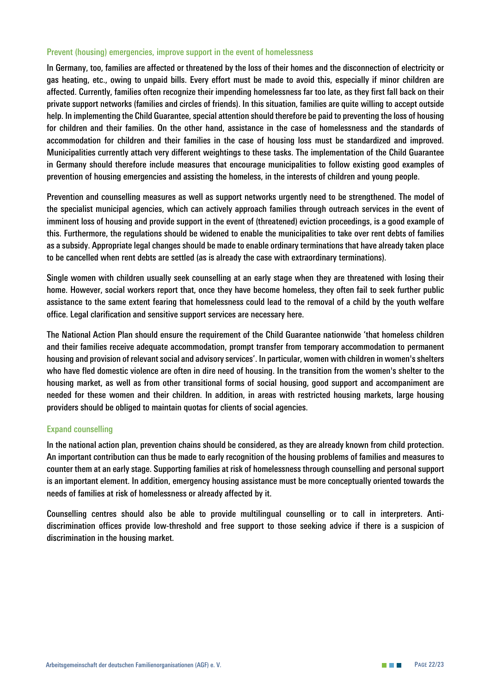#### *Prevent (housing) emergencies, improve support in the event of homelessness*

*In Germany, too, families are affected or threatened by the loss of their homes and the disconnection of electricity or gas heating, etc., owing to unpaid bills. Every effort must be made to avoid this, especially if minor children are affected. Currently, families often recognize their impending homelessness far too late, as they first fall back on their private support networks (families and circles of friends). In this situation, families are quite willing to accept outside help. In implementing the Child Guarantee, special attention should therefore be paid to preventing the loss of housing for children and their families. On the other hand, assistance in the case of homelessness and the standards of accommodation for children and their families in the case of housing loss must be standardized and improved. Municipalities currently attach very different weightings to these tasks. The implementation of the Child Guarantee in Germany should therefore include measures that encourage municipalities to follow existing good examples of prevention of housing emergencies and assisting the homeless, in the interests of children and young people.*

*Prevention and counselling measures as well as support networks urgently need to be strengthened. The model of the specialist municipal agencies, which can actively approach families through outreach services in the event of imminent loss of housing and provide support in the event of (threatened) eviction proceedings, is a good example of this. Furthermore, the regulations should be widened to enable the municipalities to take over rent debts of families as a subsidy. Appropriate legal changes should be made to enable ordinary terminations that have already taken place to be cancelled when rent debts are settled (as is already the case with extraordinary terminations).* 

*Single women with children usually seek counselling at an early stage when they are threatened with losing their home. However, social workers report that, once they have become homeless, they often fail to seek further public assistance to the same extent fearing that homelessness could lead to the removal of a child by the youth welfare office. Legal clarification and sensitive support services are necessary here.* 

*The National Action Plan should ensure the requirement of the Child Guarantee nationwide 'that homeless children and their families receive adequate accommodation, prompt transfer from temporary accommodation to permanent housing and provision of relevant social and advisory services'. In particular, women with children in women's shelters who have fled domestic violence are often in dire need of housing. In the transition from the women's shelter to the housing market, as well as from other transitional forms of social housing, good support and accompaniment are needed for these women and their children. In addition, in areas with restricted housing markets, large housing providers should be obliged to maintain quotas for clients of social agencies.*

#### *Expand counselling*

*In the national action plan, prevention chains should be considered, as they are already known from child protection. An important contribution can thus be made to early recognition of the housing problems of families and measures to counter them at an early stage. Supporting families at risk of homelessness through counselling and personal support is an important element. In addition, emergency housing assistance must be more conceptually oriented towards the needs of families at risk of homelessness or already affected by it.*

*Counselling centres should also be able to provide multilingual counselling or to call in interpreters. Anti*discrimination offices provide low-threshold and free support to those seeking advice if there is a suspicion of *discrimination in the housing market.*